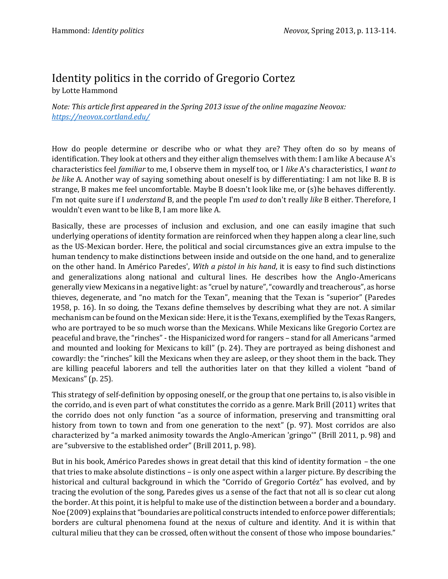## Identity politics in the corrido of Gregorio Cortez

by Lotte Hammond

*Note: This article first appeared in the Spring 2013 issue of the online magazine Neovox: <https://neovox.cortland.edu/>*

How do people determine or describe who or what they are? They often do so by means of identification. They look at others and they either align themselves with them: I am like A because A's characteristics feel *familiar* to me, I observe them in myself too, or I *like* A's characteristics, I *want to be like* A. Another way of saying something about oneself is by differentiating: I am not like B. B is strange, B makes me feel uncomfortable. Maybe B doesn't look like me, or (s)he behaves differently. I'm not quite sure if I *understand* B, and the people I'm *used to* don't really *like* B either. Therefore, I wouldn't even want to be like B, I am more like A.

Basically, these are processes of inclusion and exclusion, and one can easily imagine that such underlying operations of identity formation are reinforced when they happen along a clear line, such as the US-Mexican border. Here, the political and social circumstances give an extra impulse to the human tendency to make distinctions between inside and outside on the one hand, and to generalize on the other hand. In Américo Paredes', *With a pistol in his hand*, it is easy to find such distinctions and generalizations along national and cultural lines. He describes how the Anglo-Americans generally view Mexicans in a negative light: as "cruel by nature", "cowardly and treacherous", as horse thieves, degenerate, and "no match for the Texan", meaning that the Texan is "superior" (Paredes 1958, p. 16). In so doing, the Texans define themselves by describing what they are not. A similar mechanism can be found on the Mexican side: Here, it is the Texans, exemplified by the Texas Rangers, who are portrayed to be so much worse than the Mexicans. While Mexicans like Gregorio Cortez are peaceful and brave, the "rinches" - the Hispanicized word for rangers – stand for all Americans "armed and mounted and looking for Mexicans to kill" (p. 24). They are portrayed as being dishonest and cowardly: the "rinches" kill the Mexicans when they are asleep, or they shoot them in the back. They are killing peaceful laborers and tell the authorities later on that they killed a violent "band of Mexicans" (p. 25).

This strategy of self-definition by opposing oneself, or the group that one pertains to, is also visible in the corrido, and is even part of what constitutes the corrido as a genre. Mark Brill (2011) writes that the corrido does not only function "as a source of information, preserving and transmitting oral history from town to town and from one generation to the next" (p. 97). Most corridos are also characterized by "a marked animosity towards the Anglo-American 'gringo'" (Brill 2011, p. 98) and are "subversive to the established order" (Brill 2011, p. 98).

But in his book, Américo Paredes shows in great detail that this kind of identity formation – the one that tries to make absolute distinctions – is only one aspect within a larger picture. By describing the historical and cultural background in which the "Corrido of Gregorio Cortéz" has evolved, and by tracing the evolution of the song, Paredes gives us a sense of the fact that not all is so clear cut along the border. At this point, it is helpful to make use of the distinction between a border and a boundary. Noe (2009) explains that "boundaries are political constructs intended to enforce power differentials; borders are cultural phenomena found at the nexus of culture and identity. And it is within that cultural milieu that they can be crossed, often without the consent of those who impose boundaries."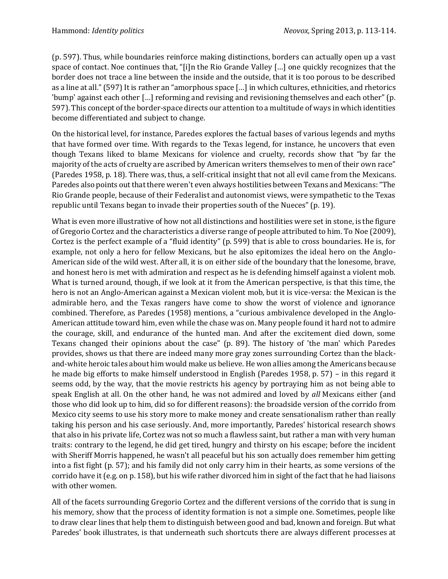(p. 597). Thus, while boundaries reinforce making distinctions, borders can actually open up a vast space of contact. Noe continues that, "[i]n the Rio Grande Valley […] one quickly recognizes that the border does not trace a line between the inside and the outside, that it is too porous to be described as a line at all." (597) It is rather an "amorphous space […] in which cultures, ethnicities, and rhetorics 'bump' against each other […] reforming and revising and revisioning themselves and each other" (p. 597). This concept of the border-space directs our attention to a multitude of ways in which identities become differentiated and subject to change.

On the historical level, for instance, Paredes explores the factual bases of various legends and myths that have formed over time. With regards to the Texas legend, for instance, he uncovers that even though Texans liked to blame Mexicans for violence and cruelty, records show that "by far the majority of the acts of cruelty are ascribed by American writers themselves to men of their own race" (Paredes 1958, p. 18). There was, thus, a self-critical insight that not all evil came from the Mexicans. Paredes also points out that there weren't even always hostilities between Texans and Mexicans: "The Rio Grande people, because of their Federalist and autonomist views, were sympathetic to the Texas republic until Texans began to invade their properties south of the Nueces" (p. 19).

What is even more illustrative of how not all distinctions and hostilities were set in stone, is the figure of Gregorio Cortez and the characteristics a diverse range of people attributed to him. To Noe (2009), Cortez is the perfect example of a "fluid identity" (p. 599) that is able to cross boundaries. He is, for example, not only a hero for fellow Mexicans, but he also epitomizes the ideal hero on the Anglo-American side of the wild west. After all, it is on either side of the boundary that the lonesome, brave, and honest hero is met with admiration and respect as he is defending himself against a violent mob. What is turned around, though, if we look at it from the American perspective, is that this time, the hero is not an Anglo-American against a Mexican violent mob, but it is vice-versa: the Mexican is the admirable hero, and the Texas rangers have come to show the worst of violence and ignorance combined. Therefore, as Paredes (1958) mentions, a "curious ambivalence developed in the Anglo-American attitude toward him, even while the chase was on. Many people found it hard not to admire the courage, skill, and endurance of the hunted man. And after the excitement died down, some Texans changed their opinions about the case" (p. 89). The history of 'the man' which Paredes provides, shows us that there are indeed many more gray zones surrounding Cortez than the blackand-white heroic tales about him would make us believe. He won allies among the Americans because he made big efforts to make himself understood in English (Paredes 1958, p. 57) – in this regard it seems odd, by the way, that the movie restricts his agency by portraying him as not being able to speak English at all. On the other hand, he was not admired and loved by *all* Mexicans either (and those who did look up to him, did so for different reasons): the broadside version of the corrido from Mexico city seems to use his story more to make money and create sensationalism rather than really taking his person and his case seriously. And, more importantly, Paredes' historical research shows that also in his private life, Cortez was not so much a flawless saint, but rather a man with very human traits: contrary to the legend, he did get tired, hungry and thirsty on his escape; before the incident with Sheriff Morris happened, he wasn't all peaceful but his son actually does remember him getting into a fist fight (p. 57); and his family did not only carry him in their hearts, as some versions of the corrido have it (e.g. on p. 158), but his wife rather divorced him in sight of the fact that he had liaisons with other women.

All of the facets surrounding Gregorio Cortez and the different versions of the corrido that is sung in his memory, show that the process of identity formation is not a simple one. Sometimes, people like to draw clear lines that help them to distinguish between good and bad, known and foreign. But what Paredes' book illustrates, is that underneath such shortcuts there are always different processes at